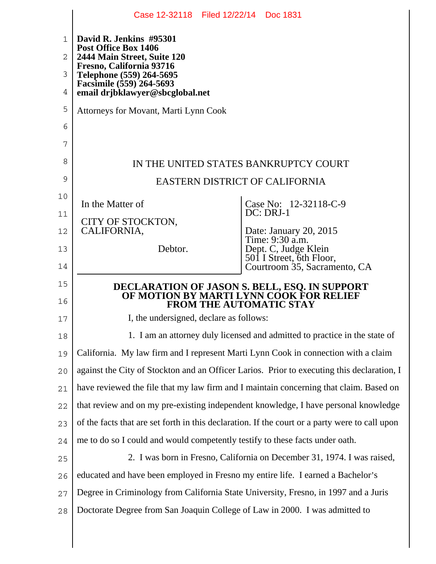|        | Case 12-32118 Filed 12/22/14 Doc 1831                                                          |                                                          |
|--------|------------------------------------------------------------------------------------------------|----------------------------------------------------------|
| 1      | David R. Jenkins #95301<br>Post Office Box 1406                                                |                                                          |
| 2      | 2444 Main Street, Suite 120<br>Fresno, California 93716                                        |                                                          |
| 3      | Telephone (559) 264-5695                                                                       |                                                          |
| 4      | Facsimile (559) 264-5693<br>email drjbklawyer@sbcglobal.net                                    |                                                          |
| 5      | Attorneys for Movant, Marti Lynn Cook                                                          |                                                          |
| 6      |                                                                                                |                                                          |
| 7      |                                                                                                |                                                          |
| 8      | IN THE UNITED STATES BANKRUPTCY COURT                                                          |                                                          |
| 9      | EASTERN DISTRICT OF CALIFORNIA                                                                 |                                                          |
| 10     | In the Matter of                                                                               | Case No: 12-32118-C-9                                    |
| 11     | CITY OF STOCKTON,                                                                              | DC: DRJ-1                                                |
| 12     | CALIFORNIA,                                                                                    | Date: January 20, 2015<br>Time: 9:30 a.m.                |
| 13     | Debtor.                                                                                        | Dept. C, Judge Klein                                     |
| 14     |                                                                                                | 501 I Street, 6th Floor,<br>Courtroom 35, Sacramento, CA |
| 15     | DECLARATION OF JASON S. BELL, ESQ. IN SUPPORT<br>OF MOTION BY MARTI LYNN CÓOK FOR RELIEF       |                                                          |
| 16     | <b>FROM THE AUTOMATIC STAY</b>                                                                 |                                                          |
| 17     | I, the undersigned, declare as follows:                                                        |                                                          |
| 18     | 1. I am an attorney duly licensed and admitted to practice in the state of                     |                                                          |
| 19     | California. My law firm and I represent Marti Lynn Cook in connection with a claim             |                                                          |
| 20     | against the City of Stockton and an Officer Larios. Prior to executing this declaration, I     |                                                          |
| 21     | have reviewed the file that my law firm and I maintain concerning that claim. Based on         |                                                          |
| 22     | that review and on my pre-existing independent knowledge, I have personal knowledge            |                                                          |
| 23     | of the facts that are set forth in this declaration. If the court or a party were to call upon |                                                          |
| 24     | me to do so I could and would competently testify to these facts under oath.                   |                                                          |
| 25     | 2. I was born in Fresno, California on December 31, 1974. I was raised,                        |                                                          |
| 26     | educated and have been employed in Fresno my entire life. I earned a Bachelor's                |                                                          |
| 27     | Degree in Criminology from California State University, Fresno, in 1997 and a Juris            |                                                          |
| $2\,8$ | Doctorate Degree from San Joaquin College of Law in 2000. I was admitted to                    |                                                          |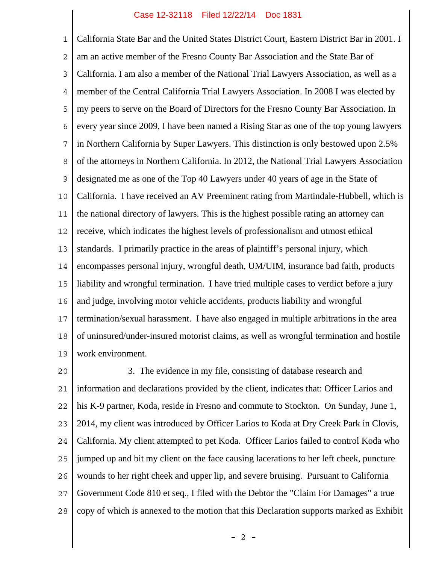## Case 12-32118 Filed 12/22/14 Doc 1831

1 2 3 4 5 6 7 8 9 10 11 12 13 14 15 16 17 18 19 California State Bar and the United States District Court, Eastern District Bar in 2001. I am an active member of the Fresno County Bar Association and the State Bar of California. I am also a member of the National Trial Lawyers Association, as well as a member of the Central California Trial Lawyers Association. In 2008 I was elected by my peers to serve on the Board of Directors for the Fresno County Bar Association. In every year since 2009, I have been named a Rising Star as one of the top young lawyers in Northern California by Super Lawyers. This distinction is only bestowed upon 2.5% of the attorneys in Northern California. In 2012, the National Trial Lawyers Association designated me as one of the Top 40 Lawyers under 40 years of age in the State of California. I have received an AV Preeminent rating from Martindale-Hubbell, which is the national directory of lawyers. This is the highest possible rating an attorney can receive, which indicates the highest levels of professionalism and utmost ethical standards. I primarily practice in the areas of plaintiff's personal injury, which encompasses personal injury, wrongful death, UM/UIM, insurance bad faith, products liability and wrongful termination. I have tried multiple cases to verdict before a jury and judge, involving motor vehicle accidents, products liability and wrongful termination/sexual harassment. I have also engaged in multiple arbitrations in the area of uninsured/under-insured motorist claims, as well as wrongful termination and hostile work environment.

20 21 22 23 24 25 26 27 28 3. The evidence in my file, consisting of database research and information and declarations provided by the client, indicates that: Officer Larios and his K-9 partner, Koda, reside in Fresno and commute to Stockton. On Sunday, June 1, 2014, my client was introduced by Officer Larios to Koda at Dry Creek Park in Clovis, California. My client attempted to pet Koda. Officer Larios failed to control Koda who jumped up and bit my client on the face causing lacerations to her left cheek, puncture wounds to her right cheek and upper lip, and severe bruising. Pursuant to California Government Code 810 et seq., I filed with the Debtor the "Claim For Damages" a true copy of which is annexed to the motion that this Declaration supports marked as Exhibit

 $- 2 -$